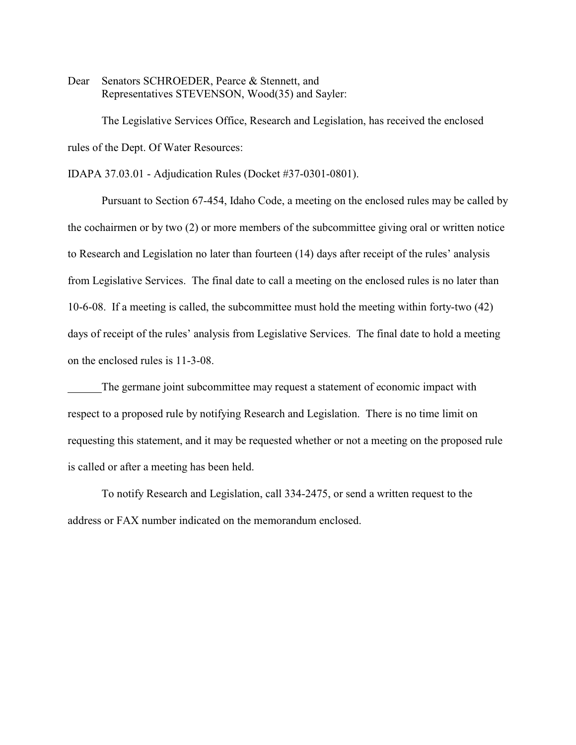Dear Senators SCHROEDER, Pearce & Stennett, and Representatives STEVENSON, Wood(35) and Sayler:

The Legislative Services Office, Research and Legislation, has received the enclosed rules of the Dept. Of Water Resources:

IDAPA 37.03.01 - Adjudication Rules (Docket #37-0301-0801).

Pursuant to Section 67-454, Idaho Code, a meeting on the enclosed rules may be called by the cochairmen or by two (2) or more members of the subcommittee giving oral or written notice to Research and Legislation no later than fourteen (14) days after receipt of the rules' analysis from Legislative Services. The final date to call a meeting on the enclosed rules is no later than 10-6-08. If a meeting is called, the subcommittee must hold the meeting within forty-two (42) days of receipt of the rules' analysis from Legislative Services. The final date to hold a meeting on the enclosed rules is 11-3-08.

The germane joint subcommittee may request a statement of economic impact with respect to a proposed rule by notifying Research and Legislation. There is no time limit on requesting this statement, and it may be requested whether or not a meeting on the proposed rule is called or after a meeting has been held.

To notify Research and Legislation, call 334-2475, or send a written request to the address or FAX number indicated on the memorandum enclosed.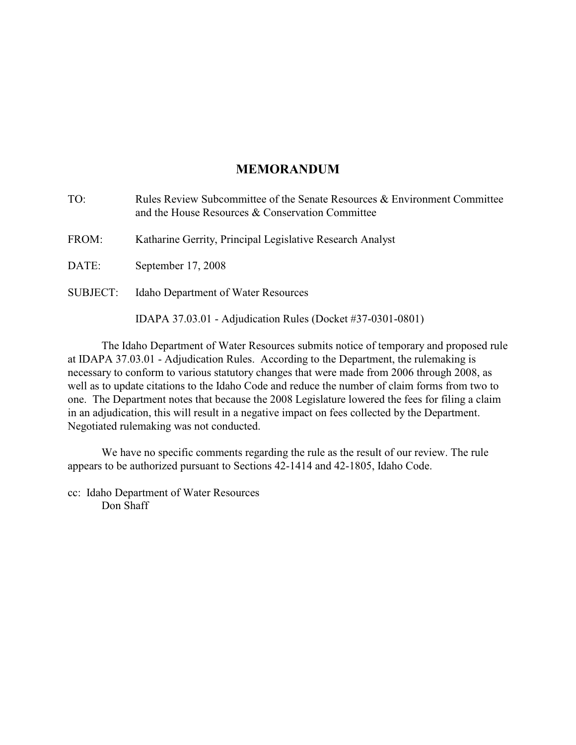# **MEMORANDUM**

| TO:             | Rules Review Subcommittee of the Senate Resources & Environment Committee<br>and the House Resources & Conservation Committee |
|-----------------|-------------------------------------------------------------------------------------------------------------------------------|
| FROM:           | Katharine Gerrity, Principal Legislative Research Analyst                                                                     |
| DATE:           | September 17, 2008                                                                                                            |
| <b>SUBJECT:</b> | <b>Idaho Department of Water Resources</b>                                                                                    |
|                 | IDAPA 37.03.01 - Adjudication Rules (Docket #37-0301-0801)                                                                    |

The Idaho Department of Water Resources submits notice of temporary and proposed rule at IDAPA 37.03.01 - Adjudication Rules. According to the Department, the rulemaking is necessary to conform to various statutory changes that were made from 2006 through 2008, as well as to update citations to the Idaho Code and reduce the number of claim forms from two to one. The Department notes that because the 2008 Legislature lowered the fees for filing a claim in an adjudication, this will result in a negative impact on fees collected by the Department. Negotiated rulemaking was not conducted.

We have no specific comments regarding the rule as the result of our review. The rule appears to be authorized pursuant to Sections 42-1414 and 42-1805, Idaho Code.

cc: Idaho Department of Water Resources Don Shaff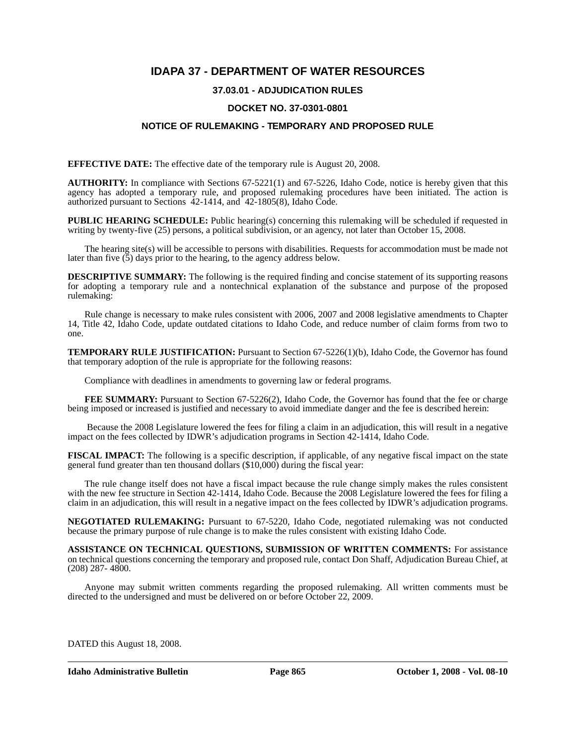# **IDAPA 37 - DEPARTMENT OF WATER RESOURCES**

## **37.03.01 - ADJUDICATION RULES**

## **DOCKET NO. 37-0301-0801**

## **NOTICE OF RULEMAKING - TEMPORARY AND PROPOSED RULE**

**EFFECTIVE DATE:** The effective date of the temporary rule is August 20, 2008.

**AUTHORITY:** In compliance with Sections 67-5221(1) and 67-5226, Idaho Code, notice is hereby given that this agency has adopted a temporary rule, and proposed rulemaking procedures have been initiated. The action is authorized pursuant to Sections 42-1414, and 42-1805(8), Idaho Code.

**PUBLIC HEARING SCHEDULE:** Public hearing(s) concerning this rulemaking will be scheduled if requested in writing by twenty-five (25) persons, a political subdivision, or an agency, not later than October 15, 2008.

The hearing site(s) will be accessible to persons with disabilities. Requests for accommodation must be made not later than five  $(5)$  days prior to the hearing, to the agency address below.

**DESCRIPTIVE SUMMARY:** The following is the required finding and concise statement of its supporting reasons for adopting a temporary rule and a nontechnical explanation of the substance and purpose of the proposed rulemaking:

Rule change is necessary to make rules consistent with 2006, 2007 and 2008 legislative amendments to Chapter 14, Title 42, Idaho Code, update outdated citations to Idaho Code, and reduce number of claim forms from two to one.

**TEMPORARY RULE JUSTIFICATION:** Pursuant to Section 67-5226(1)(b), Idaho Code, the Governor has found that temporary adoption of the rule is appropriate for the following reasons:

Compliance with deadlines in amendments to governing law or federal programs.

FEE SUMMARY: Pursuant to Section 67-5226(2), Idaho Code, the Governor has found that the fee or charge being imposed or increased is justified and necessary to avoid immediate danger and the fee is described herein:

 Because the 2008 Legislature lowered the fees for filing a claim in an adjudication, this will result in a negative impact on the fees collected by IDWR's adjudication programs in Section 42-1414, Idaho Code.

**FISCAL IMPACT:** The following is a specific description, if applicable, of any negative fiscal impact on the state general fund greater than ten thousand dollars (\$10,000) during the fiscal year:

The rule change itself does not have a fiscal impact because the rule change simply makes the rules consistent with the new fee structure in Section 42-1414, Idaho Code. Because the 2008 Legislature lowered the fees for filing a claim in an adjudication, this will result in a negative impact on the fees collected by IDWR's adjudication programs.

**NEGOTIATED RULEMAKING:** Pursuant to 67-5220, Idaho Code, negotiated rulemaking was not conducted because the primary purpose of rule change is to make the rules consistent with existing Idaho Code.

**ASSISTANCE ON TECHNICAL QUESTIONS, SUBMISSION OF WRITTEN COMMENTS:** For assistance on technical questions concerning the temporary and proposed rule, contact Don Shaff, Adjudication Bureau Chief, at (208) 287- 4800.

Anyone may submit written comments regarding the proposed rulemaking. All written comments must be directed to the undersigned and must be delivered on or before October 22, 2009.

DATED this August 18, 2008.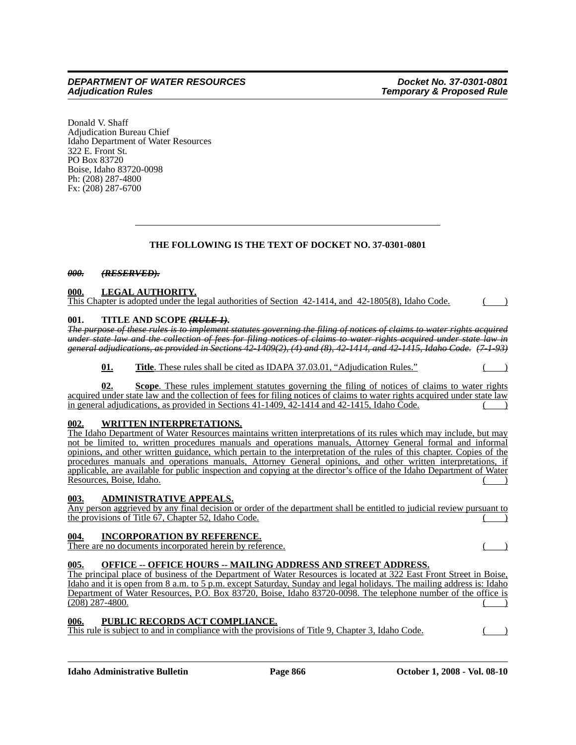Donald V. Shaff Adjudication Bureau Chief Idaho Department of Water Resources 322 E. Front St. PO Box 83720 Boise, Idaho 83720-0098 Ph: (208) 287-4800 Fx: (208) 287-6700

## **THE FOLLOWING IS THE TEXT OF DOCKET NO. 37-0301-0801**

## *000. (RESERVED).*

## **000. LEGAL AUTHORITY.**

This Chapter is adopted under the legal authorities of Section 42-1414, and 42-1805(8), Idaho Code.

### **001. TITLE AND SCOPE** *(RULE 1)***.**

*The purpose of these rules is to implement statutes governing the filing of notices of claims to water rights acquired under state law and the collection of fees for filing notices of claims to water rights acquired under state law in general adjudications, as provided in Sections 42-1409(2), (4) and (8), 42-1414, and 42-1415, Idaho Code. (7-1-93)*

**01. Title**. These rules shall be cited as IDAPA 37.03.01, "Adjudication Rules."

**02. Scope**. These rules implement statutes governing the filing of notices of claims to water rights acquired under state law and the collection of fees for filing notices of claims to water rights acquired under state law in general adjudications, as provided in Sections  $41-1409$ ,  $42-1414$  and  $42-1415$ , Idaho Code.

## **002. WRITTEN INTERPRETATIONS.**

The Idaho Department of Water Resources maintains written interpretations of its rules which may include, but may not be limited to, written procedures manuals and operations manuals, Attorney General formal and informal opinions, and other written guidance, which pertain to the interpretation of the rules of this chapter. Copies of the procedures manuals and operations manuals, Attorney General opinions, and other written interpretations, if applicable, are available for public inspection and copying at the director's office of the Idaho Department of Water Resources, Boise, Idaho.

### **003. ADMINISTRATIVE APPEALS.**

Any person aggrieved by any final decision or order of the department shall be entitled to judicial review pursuant to the provisions of Title  $67$ , Chapter 52, Idaho Code.

## **004. INCORPORATION BY REFERENCE.**

There are no documents incorporated herein by reference. ( )

## **005. OFFICE -- OFFICE HOURS -- MAILING ADDRESS AND STREET ADDRESS.**

The principal place of business of the Department of Water Resources is located at 322 East Front Street in Boise, Idaho and it is open from 8 a.m. to 5 p.m. except Saturday, Sunday and legal holidays. The mailing address is: Idaho Department of Water Resources, P.O. Box 83720, Boise, Idaho 83720-0098. The telephone number of the office is  $(208)$  287-4800.

## **006. PUBLIC RECORDS ACT COMPLIANCE.**

This rule is subject to and in compliance with the provisions of Title 9, Chapter 3, Idaho Code.  $($ )

**Idaho Administrative Bulletin Page 866 Corollary Page 866 Corollary Page 866** October 1, 2008 - Vol. 08-10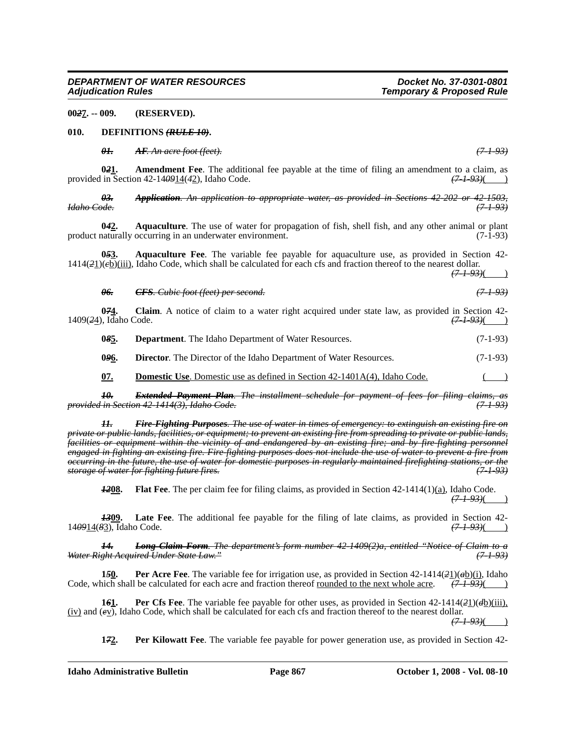**00***2***7. -- 009. (RESERVED).**

#### **010. DEFINITIONS** *(RULE 10)***.**

*01. AF. An acre foot (feet). (7-1-93)*

**0***2***1. Amendment Fee**. The additional fee payable at the time of filing an amendment to a claim, as provided in Section 42-14*09*14(*4*2), Idaho Code. *(7-1-93)*( )

*03. Application. An application to appropriate water, as provided in Sections 42-202 or 42-1503, Idaho Code. (7-1-93)*

**0***4***2. Aquaculture**. The use of water for propagation of fish, shell fish, and any other animal or plant product naturally occurring in an underwater environment. (7-1-93)

**0***5***3. Aquaculture Fee**. The variable fee payable for aquaculture use, as provided in Section 42- 1414(*2*1)(*c*b)(iii), Idaho Code, which shall be calculated for each cfs and fraction thereof to the nearest dollar.

*(7-1-93)*( )

| <del>06.</del> | $CFS$ Cubic foot (feet) next second<br>$\sigma$ of $\sigma$ . Cable foot fieed per second. | (7, 1, 0, 3)<br>$\sqrt{1}$ |  |
|----------------|--------------------------------------------------------------------------------------------|----------------------------|--|
|                |                                                                                            |                            |  |

**0<del>71</del>.** Claim. A notice of claim to a water right acquired under state law, as provided in Section 42-<br>
(7.4.93)(1), Idaho Code. 1409(24), Idaho Code.

**08<u>5</u>. Department**. The Idaho Department of Water Resources. (7-1-93)

**046.** Director. The Director of the Idaho Department of Water Resources. (7-1-93)

**07. Domestic Use**. Domestic use as defined in Section 42-1401A(4), Idaho Code.

*10. Extended Payment Plan. The installment schedule for payment of fees for filing claims, as provided in Section 42-1414(3), Idaho Code. (7-1-93)*

*11. Fire-Fighting Purposes. The use of water in times of emergency: to extinguish an existing fire on private or public lands, facilities, or equipment; to prevent an existing fire from spreading to private or public lands, facilities or equipment within the vicinity of and endangered by an existing fire; and by fire-fighting personnel engaged in fighting an existing fire. Fire-fighting purposes does not include the use of water to prevent a fire from occurring in the future, the use of water for domestic purposes in regularly maintained firefighting stations, or the storage of water for fighting future fires.* 

*1208.* Flat Fee. The per claim fee for filing claims, as provided in Section 42-1414(1)(a), Idaho Code. *(7-1-93)*( )

**1309.** Late Fee. The additional fee payable for the filing of late claims, as provided in Section 42-<br>  $\frac{(7-1-93)}{(7-1-93)}$ 140914(83), Idaho Code.

*14. Long Claim Form. The department's form number 42-1409(2)a, entitled "Notice of Claim to a Water Right Acquired Under State Law." (7-1-93)*

**1***5***0. Per Acre Fee**. The variable fee for irrigation use, as provided in Section 42-1414(*2*1)(*a*b)(i), Idaho Code, which shall be calculated for each acre and fraction thereof <u>rounded to the next whole acre</u>.  $(7-1-93)()$ 

**1***6***1. Per Cfs Fee**. The variable fee payable for other uses, as provided in Section 42-1414(*2*1)(*d*b)(iii), (iv) and (*e*v), Idaho Code, which shall be calculated for each cfs and fraction thereof to the nearest dollar. *(7-1-93)*( )

**1***7***2. Per Kilowatt Fee**. The variable fee payable for power generation use, as provided in Section 42-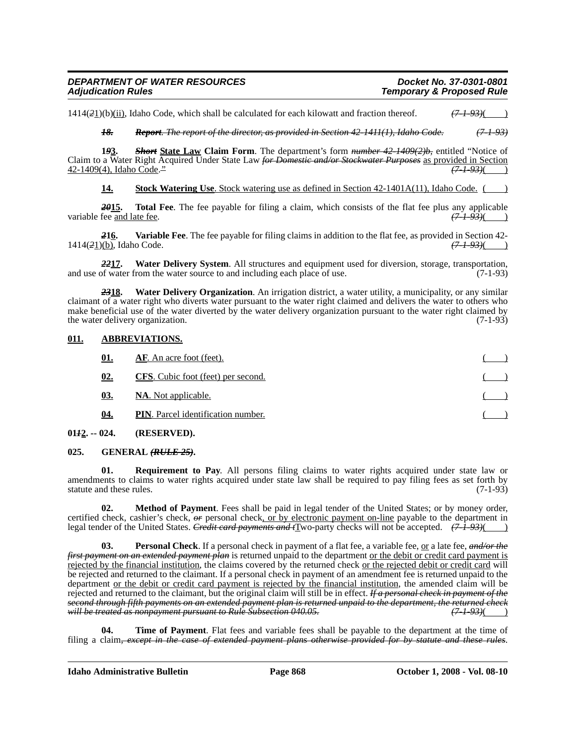## *DEPARTMENT OF WATER RESOURCES Docket No. 37-0301-0801 Temporary & Proposed Rule*

 $1414(2\underline{1})(b)$ (ii), Idaho Code, which shall be calculated for each kilowatt and fraction thereof.  $\left(7-1-93\right)$ 

*18. Report. The report of the director, as provided in Section 42-1411(1), Idaho Code. (7-1-93)*

**1***9***3.** *Short* **State Law Claim Form**. The department's form *number 42-1409(2)b,* entitled "Notice of Claim to a Water Right Acquired Under State Law *for Domestic and/or Stockwater Purposes* as provided in Section 42-1409(4), Idaho Code.*" (7-1-93)*( )

**14. Stock Watering Use**. Stock watering use as defined in Section 42-1401A(11), Idaho Code.

**2015.** Total Fee. The fee payable for filing a claim, which consists of the flat fee plus any applicable fee and late fee.  $\frac{(7-1-93)}{(2-1-93)}$ variable fee and late fee.

*2***16. Variable Fee**. The fee payable for filing claims in addition to the flat fee, as provided in Section 42- 1414(*2*1)(b), Idaho Code. *(7-1-93)*( )

*22***17. Water Delivery System**. All structures and equipment used for diversion, storage, transportation, and use of water from the water source to and including each place of use. (7-1-93)

*23***18. Water Delivery Organization**. An irrigation district, a water utility, a municipality, or any similar claimant of a water right who diverts water pursuant to the water right claimed and delivers the water to others who make beneficial use of the water diverted by the water delivery organization pursuant to the water right claimed by the water delivery organization.  $(7-1-93)$ the water delivery organization.

## **011. ABBREVIATIONS.**

| <b>AF.</b> An acre foot (feet).           |  |
|-------------------------------------------|--|
| <b>CFS.</b> Cubic foot (feet) per second. |  |
| <b>NA.</b> Not applicable.                |  |
| <b>PIN.</b> Parcel identification number. |  |
|                                           |  |

**01***1***2. -- 024. (RESERVED).**

**025. GENERAL** *(RULE 25)***.**

**Requirement to Pay**. All persons filing claims to water rights acquired under state law or amendments to claims to water rights acquired under state law shall be required to pay filing fees as set forth by statute and these rules. (7-1-93)

**02. Method of Payment**. Fees shall be paid in legal tender of the United States; or by money order, certified check, cashier's check, *or* personal check, or by electronic payment on-line payable to the department in legal tender of the United States. *Credit card payments and t*Two-party checks will not be accepted. *(7-1-93)*( )

**03. Personal Check**. If a personal check in payment of a flat fee, a variable fee, or a late fee, *and/or the first payment on an extended payment plan* is returned unpaid to the department or the debit or credit card payment is rejected by the financial institution, the claims covered by the returned check or the rejected debit or credit card will be rejected and returned to the claimant. If a personal check in payment of an amendment fee is returned unpaid to the department <u>or the debit or credit card payment is rejected by the financial institution</u>, the amended claim will be rejected and returned to the claimant, but the original claim will still be in effect. *If a personal check in payment of the second through fifth payments on an extended payment plan is returned unpaid to the department, the returned check will be treated as nonpayment pursuant to Rule Subsection 040.05.* 

**Time of Payment**. Flat fees and variable fees shall be payable to the department at the time of filing a claim*, except in the case of extended payment plans otherwise provided for by statute and these rules*.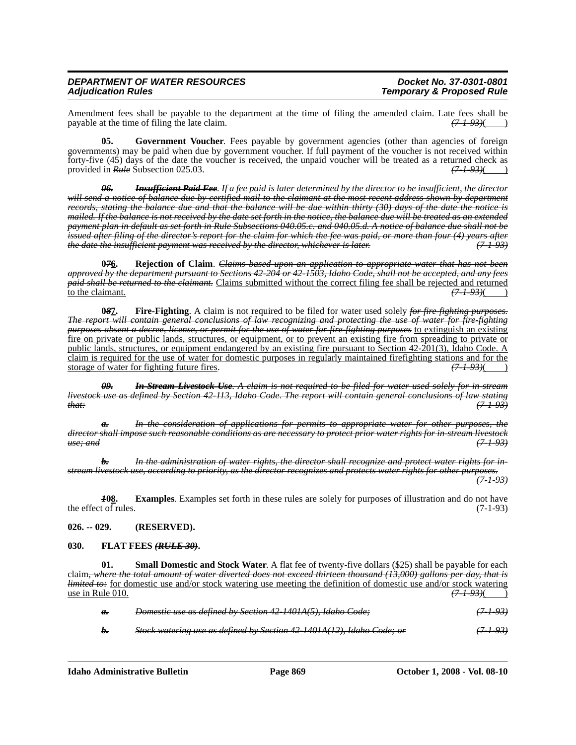Amendment fees shall be payable to the department at the time of filing the amended claim. Late fees shall be payable at the time of filing the late claim. payable at the time of filing the late claim.

**05.** Government Voucher. Fees payable by government agencies (other than agencies of foreign governments) may be paid when due by government voucher. If full payment of the voucher is not received within forty-five (45) days of the date the voucher is received, the unpaid voucher will be treated as a returned check as provided in Rule Subsection 025.03. provided in *Rule* Subsection 025.03.

*06. Insufficient Paid Fee. If a fee paid is later determined by the director to be insufficient, the director will send a notice of balance due by certified mail to the claimant at the most recent address shown by department records, stating the balance due and that the balance will be due within thirty (30) days of the date the notice is mailed. If the balance is not received by the date set forth in the notice, the balance due will be treated as an extended payment plan in default as set forth in Rule Subsections 040.05.c. and 040.05.d. A notice of balance due shall not be issued after filing of the director's report for the claim for which the fee was paid, or more than four (4) years after the date the insufficient payment was received by the director, whichever is later. (7-1-93)*

**0***7***6. Rejection of Claim**. *Claims based upon an application to appropriate water that has not been approved by the department pursuant to Sections 42-204 or 42-1503, Idaho Code, shall not be accepted, and any fees paid shall be returned to the claimant.* Claims submitted without the correct filing fee shall be rejected and returned to the claimant.  $(7.1-93)$ 

**0***8***7. Fire-Fighting**. A claim is not required to be filed for water used solely *for fire-fighting purposes. The report will contain general conclusions of law recognizing and protecting the use of water for fire-fighting purposes absent a decree, license, or permit for the use of water for fire-fighting purposes* to extinguish an existing fire on private or public lands, structures, or equipment, or to prevent an existing fire from spreading to private or public lands, structures, or equipment endangered by an existing fire pursuant to Section 42-201(3), Idaho Code. A claim is required for the use of water for domestic purposes in regularly maintained firefighting stations and for the storage of water for fighting future fires.  $(7-1-93)$ storage of water for fighting future fires.

*09. In-Stream Livestock Use. A claim is not required to be filed for water used solely for in-stream livestock use as defined by Section 42-113, Idaho Code. The report will contain general conclusions of law stating that: (7-1-93)*

*a. In the consideration of applications for permits to appropriate water for other purposes, the director shall impose such reasonable conditions as are necessary to protect prior water rights for in-stream livestock use; and (7-1-93)*

*b. In the administration of water rights, the director shall recognize and protect water rights for instream livestock use, according to priority, as the director recognizes and protects water rights for other purposes. (7-1-93)*

*1***08. Examples**. Examples set forth in these rules are solely for purposes of illustration and do not have the effect of rules.  $(7-1-93)$ 

**026. -- 029. (RESERVED).**

### **030. FLAT FEES** *(RULE 30)***.**

**01.** Small Domestic and Stock Water. A flat fee of twenty-five dollars (\$25) shall be payable for each claim*, where the total amount of water diverted does not exceed thirteen thousand (13,000) gallons per day, that is limited to:* for domestic use and/or stock watering use meeting the definition of domestic use and/or stock watering use in Rule 010.  $(7-1-93)$ 

| $a_{\tau}$ | Domestic use as defined by Section 42-1401A(5), Idaho Code;           | <del>(7-1-93)</del> |
|------------|-----------------------------------------------------------------------|---------------------|
|            | Stock watering use as defined by Section 42 1401A(12), Idaho Code; or | (7193)              |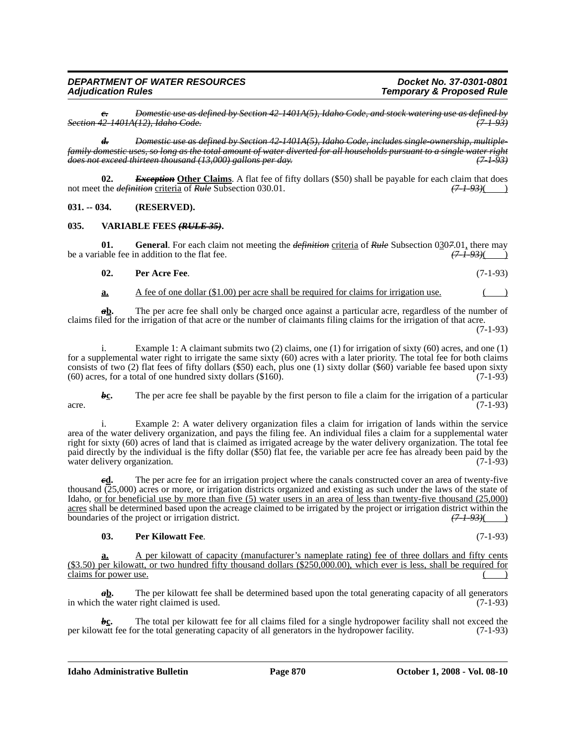*c. Domestic use as defined by Section 42-1401A(5), Idaho Code, and stock watering use as defined by Section 42-1401A(12), Idaho Code. (7-1-93)*

*d. Domestic use as defined by Section 42-1401A(5), Idaho Code, includes single-ownership, multiplefamily domestic uses, so long as the total amount of water diverted for all households pursuant to a single water right does not exceed thirteen thousand (13,000) gallons per day. (7-1-93)*

**02.** *Exception* Other Claims. A flat fee of fifty dollars (\$50) shall be payable for each claim that does the *definition* criteria of *Rule* Subsection 030.01.  $(7-1-93)($   $(7-1-93)()$ not meet the *definition* criteria of *Rule* Subsection 030.01. *(7-1-93)*( )

**031. -- 034. (RESERVED).**

### **035. VARIABLE FEES** *(RULE 35)***.**

**01.** General. For each claim not meeting the *definition* criteria of *Rule* Subsection  $0\underline{3}07.01$ , there may able fee in addition to the flat fee. be a variable fee in addition to the flat fee.

| 02. | <b>Per Acre Fee.</b> | $(7-1-93)$ |
|-----|----------------------|------------|
|     |                      |            |

## **a.** A fee of one dollar (\$1.00) per acre shall be required for claims for irrigation use.

*a***<u>b</u>.** The per acre fee shall only be charged once against a particular acre, regardless of the number of claims filed for the irrigation of that acre or the number of claimants filing claims for the irrigation of that acre.

(7-1-93)

i. Example 1: A claimant submits two (2) claims, one (1) for irrigation of sixty (60) acres, and one (1) for a supplemental water right to irrigate the same sixty (60) acres with a later priority. The total fee for both claims consists of two (2) flat fees of fifty dollars (\$50) each, plus one (1) sixty dollar (\$60) variable fee based upon sixty  $(60)$  acres, for a total of one hundred sixty dollars  $(\$160)$ .  $(7-1-93)$ 

*b***c.** The per acre fee shall be payable by the first person to file a claim for the irrigation of a particular  $\arccos \left(7.1-93\right)$  (7-1-93)

Example 2: A water delivery organization files a claim for irrigation of lands within the service area of the water delivery organization, and pays the filing fee. An individual files a claim for a supplemental water right for sixty (60) acres of land that is claimed as irrigated acreage by the water delivery organization. The total fee paid directly by the individual is the fifty dollar (\$50) flat fee, the variable per acre fee has already been paid by the water delivery organization. (7-1-93)

The per acre fee for an irrigation project where the canals constructed cover an area of twenty-five thousand (25,000) acres or more, or irrigation districts organized and existing as such under the laws of the state of Idaho, or for beneficial use by more than five (5) water users in an area of less than twenty-five thousand (25,000) <u>acres</u> shall be determined based upon the acreage claimed to be irrigated by the project or irrigation district within the boundaries of the project or irrigation district. boundaries of the project or irrigation district.

### **03. Per Kilowatt Fee**. (7-1-93)

**a.** A per kilowatt of capacity (manufacturer's nameplate rating) fee of three dollars and fifty cents (\$3.50) per kilowatt, or two hundred fifty thousand dollars (\$250,000.00), which ever is less, shall be required for claims for power use.

*a***b.** The per kilowatt fee shall be determined based upon the total generating capacity of all generators in which the water right claimed is used. (7-1-93)

 $b_c$ . The total per kilowatt fee for all claims filed for a single hydropower facility shall not exceed the vature facility shall not exceed the vature of all generators in the hydropower facility.  $(7-1-93)$ per kilowatt fee for the total generating capacity of all generators in the hydropower facility.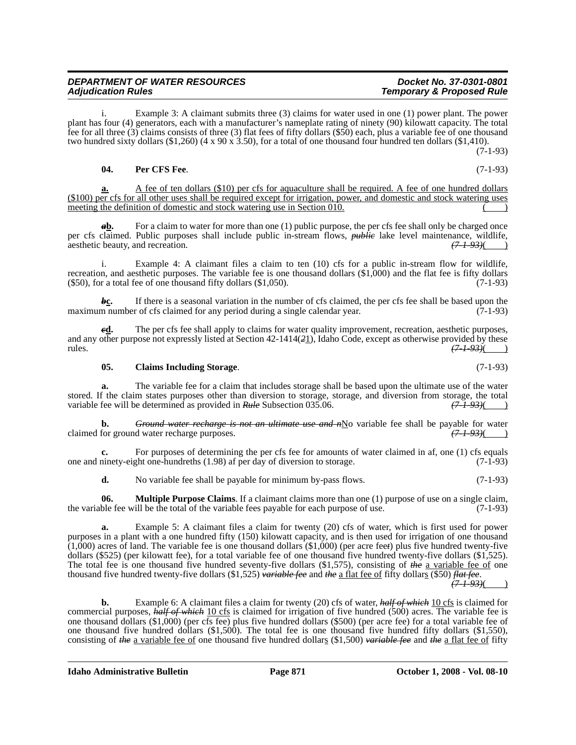i. Example 3: A claimant submits three (3) claims for water used in one (1) power plant. The power plant has four (4) generators, each with a manufacturer's nameplate rating of ninety (90) kilowatt capacity. The total fee for all three (3) claims consists of three (3) flat fees of fifty dollars (\$50) each, plus a variable fee of one thousand two hundred sixty dollars (\$1,260) (4 x 90 x 3.50), for a total of one thousand four hundred ten dollars (\$1,410).  $(7-1-93)$ 

## **04. Per CFS Fee**. (7-1-93)

**a.** A fee of ten dollars (\$10) per cfs for aquaculture shall be required. A fee of one hundred dollars (\$100) per cfs for all other uses shall be required except for irrigation, power, and domestic and stock watering uses meeting the definition of domestic and stock watering use in Section  $\overline{010}$ .

*a***b.** For a claim to water for more than one (1) public purpose, the per cfs fee shall only be charged once per cfs claimed. Public purposes shall include public in-stream flows, *public* lake level maintenance, wildlife, aesthetic beauty, and recreation. *(7-1-93)*( )

i. Example 4: A claimant files a claim to ten (10) cfs for a public in-stream flow for wildlife, recreation, and aesthetic purposes. The variable fee is one thousand dollars (\$1,000) and the flat fee is fifty dollars  $($ \$50), for a total fee of one thousand fifty dollars  $($ \$1,050).  $(7-1-93)$ 

*b***<sub>C</sub>.** If there is a seasonal variation in the number of cfs claimed, the per cfs fee shall be based upon the number of cfs claimed for any period during a single calendar year.  $(7-1-93)$ maximum number of cfs claimed for any period during a single calendar year.

*e***<u>d</u>.** The per cfs fee shall apply to claims for water quality improvement, recreation, aesthetic purposes, and any other purpose not expressly listed at Section 42-1414(*2*1), Idaho Code, except as otherwise provided by these rules. *(7-1-93)*( )

## **05. Claims Including Storage**. (7-1-93)

**a.** The variable fee for a claim that includes storage shall be based upon the ultimate use of the water stored. If the claim states purposes other than diversion to storage, storage, and diversion from storage, the total variable fee will be determined as provided in *Rule* Subsection 035.06.  $(71-93)$   $(71-93)$ variable fee will be determined as provided in *Rule* Subsection 035.06.

**b.** *Ground water recharge is not an ultimate use and n*No variable fee shall be payable for water for ground water recharge purposes. claimed for ground water recharge purposes.

**c.** For purposes of determining the per cfs fee for amounts of water claimed in af, one (1) cfs equals one and ninety-eight one-hundreths (1.98) af per day of diversion to storage. (7-1-93)

**d.** No variable fee shall be payable for minimum by-pass flows. (7-1-93)

**06. Multiple Purpose Claims**. If a claimant claims more than one (1) purpose of use on a single claim, the variable fee will be the total of the variable fees payable for each purpose of use. (7-1-93)

**a.** Example 5: A claimant files a claim for twenty (20) cfs of water, which is first used for power purposes in a plant with a one hundred fifty (150) kilowatt capacity, and is then used for irrigation of one thousand (1,000) acres of land. The variable fee is one thousand dollars (\$1,000) (per acre fee*t*) plus five hundred twenty-five dollars (\$525) (per kilowatt fee), for a total variable fee of one thousand five hundred twenty-five dollars (\$1,525). The total fee is one thousand five hundred seventy-five dollars (\$1,575), consisting of *the* a variable fee of one thousand five hundred twenty-five dollars (\$1,525) *variable fee* and *the* a flat fee of fifty dollars (\$50) *flat fee*.

*(7-1-93)*( )

**b.** Example 6: A claimant files a claim for twenty (20) cfs of water, *half of which* 10 cfs is claimed for commercial purposes, *half of which* 10 cfs is claimed for irrigation of five hundred (500) acres. The variable fee is one thousand dollars (\$1,000) (per cfs fee) plus five hundred dollars (\$500) (per acre fee) for a total variable fee of one thousand five hundred dollars (\$1,500). The total fee is one thousand five hundred fifty dollars (\$1,550), consisting of *the* a variable fee of one thousand five hundred dollars (\$1,500) *variable fee* and *the* a flat fee of fifty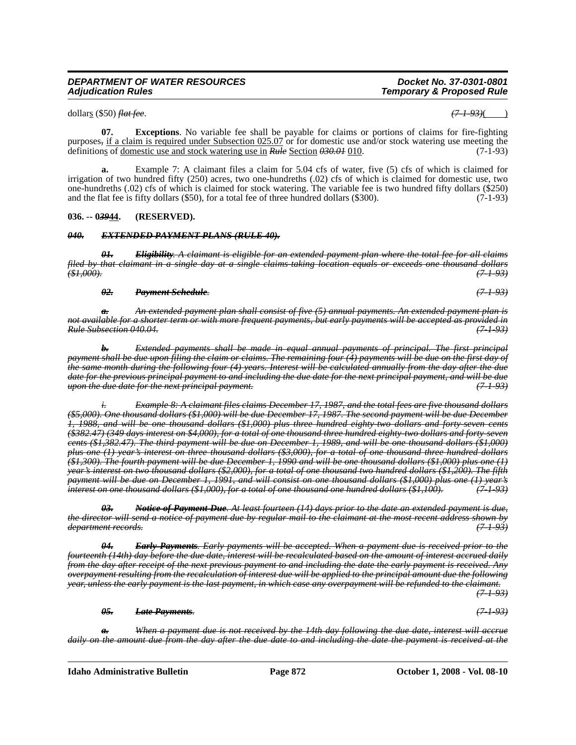## **Idaho Administrative Bulletin Page 872 October 1, 2008 - Vol. 08-10**

# *DEPARTMENT OF WATER RESOURCES Docket No. 37-0301-0801 Temporary & Proposed Rule* dollars (\$50) *flat fee*. *(7-1-93)*( )

**07. Exceptions**. No variable fee shall be payable for claims or portions of claims for fire-fighting purposes*,* if a claim is required under Subsection 025.07 or for domestic use and/or stock watering use meeting the definitions of domestic use and stock watering use in *Rule* Section *030.01* 010. (7-1-93)

**a.** Example 7: A claimant files a claim for 5.04 cfs of water, five (5) cfs of which is claimed for irrigation of two hundred fifty (250) acres, two one-hundreths (.02) cfs of which is claimed for domestic use, two one-hundreths (.02) cfs of which is claimed for stock watering. The variable fee is two hundred fifty dollars (\$250) and the flat fee is fifty dollars (\$50), for a total fee of three hundred dollars (\$300). (7-1-93)

# **036. -- 0***39***44. (RESERVED).**

## *040. EXTENDED PAYMENT PLANS (RULE 40).*

*01. Eligibility. A claimant is eligible for an extended payment plan where the total fee for all claims filed by that claimant in a single day at a single claims-taking location equals or exceeds one thousand dollars (\$1,000). (7-1-93)*

## *02. Payment Schedule. (7-1-93)*

*a. An extended payment plan shall consist of five (5) annual payments. An extended payment plan is not available for a shorter term or with more frequent payments, but early payments will be accepted as provided in Rule Subsection 040.04. (7-1-93)*

*b. Extended payments shall be made in equal annual payments of principal. The first principal payment shall be due upon filing the claim or claims. The remaining four (4) payments will be due on the first day of the same month during the following four (4) years. Interest will be calculated annually from the day after the due date for the previous principal payment to and including the due date for the next principal payment, and will be due upon the due date for the next principal payment. (7-1-93)*

*i. Example 8: A claimant files claims December 17, 1987, and the total fees are five thousand dollars (\$5,000). One thousand dollars (\$1,000) will be due December 17, 1987. The second payment will be due December 1, 1988, and will be one thousand dollars (\$1,000) plus three hundred eighty-two dollars and forty-seven cents (\$382.47) (349 days interest on \$4,000), for a total of one thousand three hundred eighty-two dollars and forty-seven cents (\$1,382.47). The third payment will be due on December 1, 1989, and will be one thousand dollars (\$1,000) plus one (1) year's interest on three thousand dollars (\$3,000), for a total of one thousand three hundred dollars (\$1,300). The fourth payment will be due December 1, 1990 and will be one thousand dollars (\$1,000) plus one (1) year's interest on two thousand dollars (\$2,000), for a total of one thousand two hundred dollars (\$1,200). The fifth payment will be due on December 1, 1991, and will consist on one thousand dollars (\$1,000) plus one (1) year's interest on one thousand dollars (\$1,000), for a total of one thousand one hundred dollars (\$1,100). (7-1-93)*

*03. Notice of Payment Due. At least fourteen (14) days prior to the date an extended payment is due, the director will send a notice of payment due by regular mail to the claimant at the most recent address shown by department records. (7-1-93)*

*04. Early Payments. Early payments will be accepted. When a payment due is received prior to the fourteenth (14th) day before the due date, interest will be recalculated based on the amount of interest accrued daily from the day after receipt of the next previous payment to and including the date the early payment is received. Any overpayment resulting from the recalculation of interest due will be applied to the principal amount due the following year, unless the early payment is the last payment, in which case any overpayment will be refunded to the claimant. (7-1-93)*

*05. Late Payments. (7-1-93)*

*a. When a payment due is not received by the 14th day following the due date, interest will accrue daily on the amount due from the day after the due date to and including the date the payment is received at the*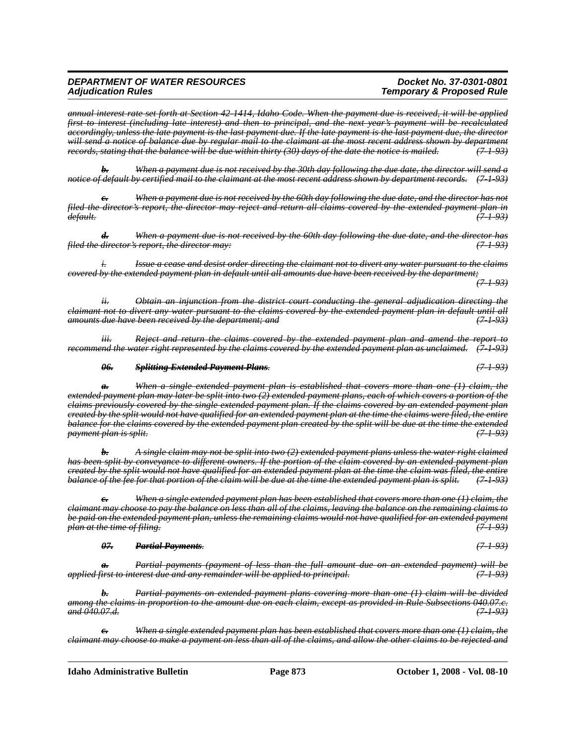# *Temporary & Proposed Rule*

*(7-1-93)*

*annual interest rate set forth at Section 42-1414, Idaho Code. When the payment due is received, it will be applied first to interest (including late interest) and then to principal, and the next year's payment will be recalculated accordingly, unless the late payment is the last payment due. If the late payment is the last payment due, the director will send a notice of balance due by regular mail to the claimant at the most recent address shown by department records, stating that the balance will be due within thirty (30) days of the date the notice is mailed. (7-1-93)*

*b. When a payment due is not received by the 30th day following the due date, the director will send a notice of default by certified mail to the claimant at the most recent address shown by department records. (7-1-93)*

*When a payment due is not received by the 60th day following the due date, and the director has not filed the director's report, the director may reject and return all claims covered by the extended payment plan in default. (7-1-93)*

*d. When a payment due is not received by the 60th day following the due date, and the director has filed the director's report, the director may: (7-1-93)*

*i. Issue a cease and desist order directing the claimant not to divert any water pursuant to the claims covered by the extended payment plan in default until all amounts due have been received by the department;*

*ii. Obtain an injunction from the district court conducting the general adjudication directing the claimant not to divert any water pursuant to the claims covered by the extended payment plan in default until all amounts due have been received by the department; and (7-1-93)*

*iii. Reject and return the claims covered by the extended payment plan and amend the report to recommend the water right represented by the claims covered by the extended payment plan as unclaimed. (7-1-93)*

### *06. Splitting Extended Payment Plans. (7-1-93)*

*a. When a single extended payment plan is established that covers more than one (1) claim, the extended payment plan may later be split into two (2) extended payment plans, each of which covers a portion of the claims previously covered by the single extended payment plan. If the claims covered by an extended payment plan created by the split would not have qualified for an extended payment plan at the time the claims were filed, the entire balance for the claims covered by the extended payment plan created by the split will be due at the time the extended payment plan is split.* 

*b. A single claim may not be split into two (2) extended payment plans unless the water right claimed has been split by conveyance to different owners. If the portion of the claim covered by an extended payment plan created by the split would not have qualified for an extended payment plan at the time the claim was filed, the entire balance of the fee for that portion of the claim will be due at the time the extended payment plan is split. (7-1-93)*

*c. When a single extended payment plan has been established that covers more than one (1) claim, the claimant may choose to pay the balance on less than all of the claims, leaving the balance on the remaining claims to be paid on the extended payment plan, unless the remaining claims would not have qualified for an extended payment plan at the time of filing.* 

*07. Partial Payments. (7-1-93)*

*a. Partial payments (payment of less than the full amount due on an extended payment) will be applied first to interest due and any remainder will be applied to principal. (7-1-93)*

*b. Partial payments on extended payment plans covering more than one (1) claim will be divided among the claims in proportion to the amount due on each claim, except as provided in Rule Subsections 040.07.c. and 040.07.d. (7-1-93)*

*c. When a single extended payment plan has been established that covers more than one (1) claim, the claimant may choose to make a payment on less than all of the claims, and allow the other claims to be rejected and*

**Idaho Administrative Bulletin Page 873 October 1, 2008 - Vol. 08-10**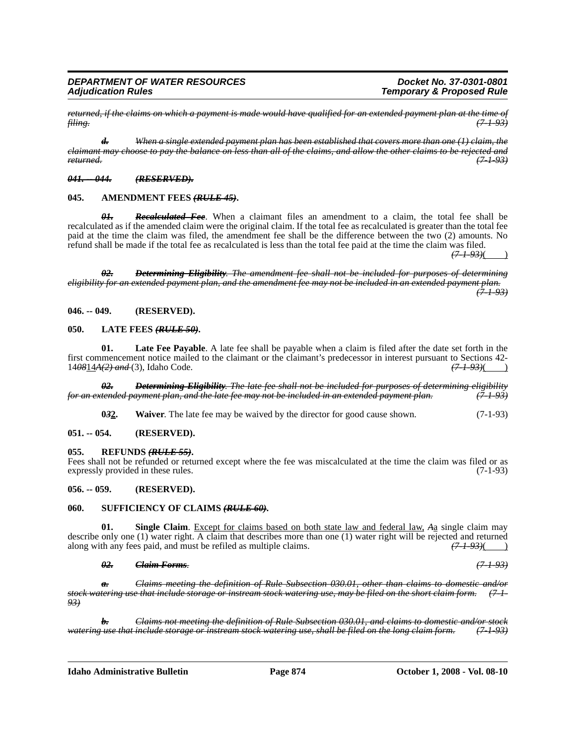*returned, if the claims on which a payment is made would have qualified for an extended payment plan at the time of filing. (7-1-93)*

*d. When a single extended payment plan has been established that covers more than one (1) claim, the claimant may choose to pay the balance on less than all of the claims, and allow the other claims to be rejected and returned. (7-1-93)*

#### *041. -- 044. (RESERVED).*

#### **045. AMENDMENT FEES** *(RULE 45)***.**

*01. Recalculated Fee*. When a claimant files an amendment to a claim, the total fee shall be recalculated as if the amended claim were the original claim. If the total fee as recalculated is greater than the total fee paid at the time the claim was filed, the amendment fee shall be the difference between the two (2) amounts. No refund shall be made if the total fee as recalculated is less than the total fee paid at the time the claim was filed.

*(7-1-93)*( )

*02. Determining Eligibility. The amendment fee shall not be included for purposes of determining eligibility for an extended payment plan, and the amendment fee may not be included in an extended payment plan. (7-1-93)*

**046. -- 049. (RESERVED).**

#### **050. LATE FEES** *(RULE 50)***.**

**01. Late Fee Payable**. A late fee shall be payable when a claim is filed after the date set forth in the first commencement notice mailed to the claimant or the claimant's predecessor in interest pursuant to Sections 42-<br>14<del>0814A(2) and</del> (3). Idaho Code.  $(7-1-93)($ 14<del>08</del>14A(2) and (3), Idaho Code.

*02. Determining Eligibility. The late fee shall not be included for purposes of determining eligibility for an extended payment plan, and the late fee may not be included in an extended payment plan.* 

**032.** Waiver. The late fee may be waived by the director for good cause shown. (7-1-93)

#### **051. -- 054. (RESERVED).**

### **055. REFUNDS** *(RULE 55)***.**

Fees shall not be refunded or returned except where the fee was miscalculated at the time the claim was filed or as expressly provided in these rules. (7-1-93)

### **056. -- 059. (RESERVED).**

### **060. SUFFICIENCY OF CLAIMS** *(RULE 60)***.**

**01. Single Claim**. Except for claims based on both state law and federal law, *A*a single claim may describe only one (1) water right. A claim that describes more than one (1) water right will be rejected and returned along with any fees paid, and must be refiled as multiple claims.  $(71.93)$   $(71.93)$ 

### *02. Claim Forms. (7-1-93)*

*a. Claims meeting the definition of Rule Subsection 030.01, other than claims to domestic and/or stock watering use that include storage or instream stock watering use, may be filed on the short claim form. (7-1- 93)*

*b. Claims not meeting the definition of Rule Subsection 030.01, and claims to domestic and/or stock watering use that include storage or instream stock watering use, shall be filed on the long claim form. (7-1-93)*

**Idaho Administrative Bulletin Page 874 October 1, 2008 - Vol. 08-10**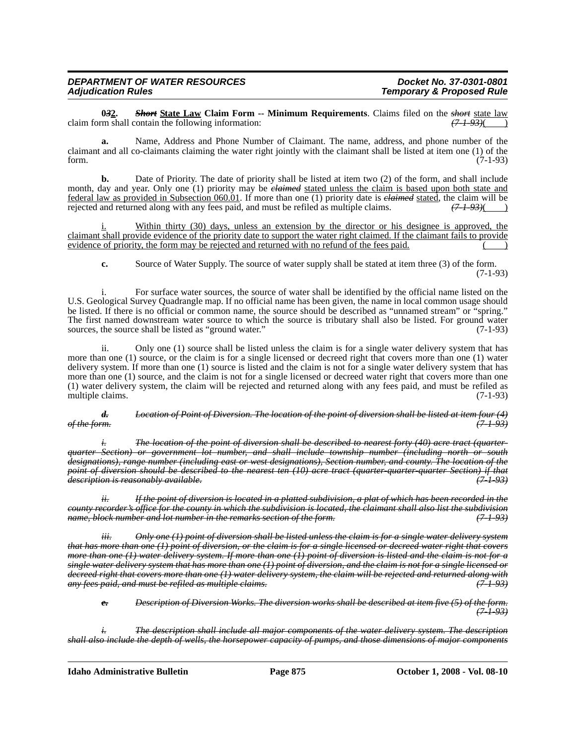# *Temporary & Proposed Rule*

**032.** *Short* **State Law Claim Form -- Minimum Requirements**. Claims filed on the *short* state law m shall contain the following information:  $(71.93)()$ claim form shall contain the following information:

**a.** Name, Address and Phone Number of Claimant. The name, address, and phone number of the claimant and all co-claimants claiming the water right jointly with the claimant shall be listed at item one (1) of the form. (7-1-93)

**b.** Date of Priority. The date of priority shall be listed at item two (2) of the form, and shall include month, day and year. Only one (1) priority may be *claimed* stated unless the claim is based upon both state and federal law as provided in Subsection 060.01. If more than one (1) priority date is *claimed* stated, the claim will be rejected and returned along with any fees paid, and must be refiled as multiple claims.

i. Within thirty (30) days, unless an extension by the director or his designee is approved, the claimant shall provide evidence of the priority date to support the water right claimed. If the claimant fails to provide evidence of priority, the form may be rejected and returned with no refund of the fees paid.

**c.** Source of Water Supply. The source of water supply shall be stated at item three (3) of the form. (7-1-93)

i. For surface water sources, the source of water shall be identified by the official name listed on the U.S. Geological Survey Quadrangle map. If no official name has been given, the name in local common usage should be listed. If there is no official or common name, the source should be described as "unnamed stream" or "spring." The first named downstream water source to which the source is tributary shall also be listed. For ground water sources, the source shall be listed as "ground water." (7-1-93)

ii. Only one (1) source shall be listed unless the claim is for a single water delivery system that has more than one (1) source, or the claim is for a single licensed or decreed right that covers more than one (1) water delivery system. If more than one (1) source is listed and the claim is not for a single water delivery system that has more than one (1) source, and the claim is not for a single licensed or decreed water right that covers more than one (1) water delivery system, the claim will be rejected and returned along with any fees paid, and must be refiled as multiple claims. (7-1-93)

*d. Location of Point of Diversion. The location of the point of diversion shall be listed at item four (4) of the form. (7-1-93)*

*i. The location of the point of diversion shall be described to nearest forty (40) acre tract (quarterquarter Section) or government lot number, and shall include township number (including north or south designations), range number (including east or west designations), Section number, and county. The location of the point of diversion should be described to the nearest ten (10) acre tract (quarter-quarter-quarter Section) if that description is reasonably available. (7-1-93)*

*ii. If the point of diversion is located in a platted subdivision, a plat of which has been recorded in the county recorder's office for the county in which the subdivision is located, the claimant shall also list the subdivision name, block number and lot number in the remarks section of the form.* 

*iii. Only one (1) point of diversion shall be listed unless the claim is for a single water delivery system that has more than one (1) point of diversion, or the claim is for a single licensed or decreed water right that covers more than one (1) water delivery system. If more than one (1) point of diversion is listed and the claim is not for a single water delivery system that has more than one (1) point of diversion, and the claim is not for a single licensed or decreed right that covers more than one (1) water delivery system, the claim will be rejected and returned along with any fees paid, and must be refiled as multiple claims. (7-1-93)*

*e. Description of Diversion Works. The diversion works shall be described at item five (5) of the form. (7-1-93)*

*i. The description shall include all major components of the water delivery system. The description shall also include the depth of wells, the horsepower capacity of pumps, and those dimensions of major components*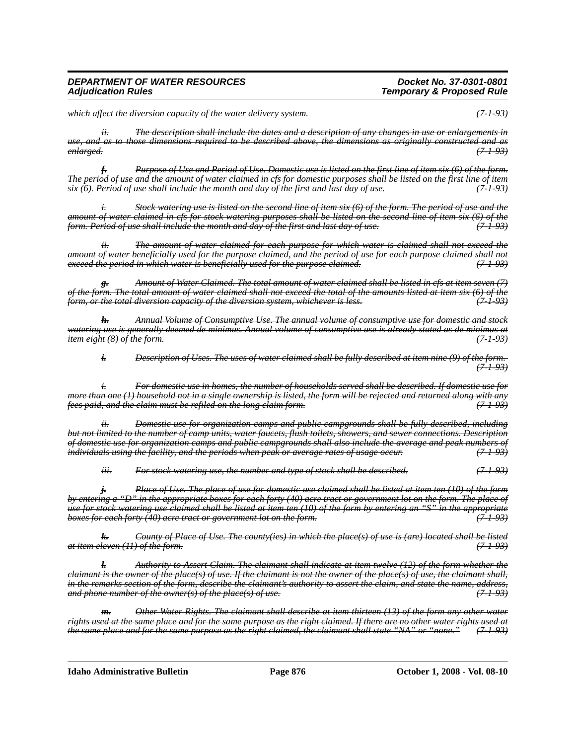# *Temporary & Proposed Rule*

*which affect the diversion capacity of the water delivery system. (7-1-93)*

*ii. The description shall include the dates and a description of any changes in use or enlargements in use, and as to those dimensions required to be described above, the dimensions as originally constructed and as enlarged. (7-1-93)*

*f. Purpose of Use and Period of Use. Domestic use is listed on the first line of item six (6) of the form. The period of use and the amount of water claimed in cfs for domestic purposes shall be listed on the first line of item six (6). Period of use shall include the month and day of the first and last day of use. (7-1-93)*

*i. Stock watering use is listed on the second line of item six (6) of the form. The period of use and the amount of water claimed in cfs for stock watering purposes shall be listed on the second line of item six (6) of the form. Period of use shall include the month and day of the first and last day of use.* 

*ii. The amount of water claimed for each purpose for which water is claimed shall not exceed the amount of water beneficially used for the purpose claimed, and the period of use for each purpose claimed shall not exceed the period in which water is beneficially used for the purpose claimed. (7-1-93)*

*g. Amount of Water Claimed. The total amount of water claimed shall be listed in cfs at item seven (7) of the form. The total amount of water claimed shall not exceed the total of the amounts listed at item six (6) of the form, or the total diversion capacity of the diversion system, whichever is less.* 

*h. Annual Volume of Consumptive Use. The annual volume of consumptive use for domestic and stock watering use is generally deemed de minimus. Annual volume of consumptive use is already stated as de minimus at item eight (8) of the form.* 

*i. Description of Uses. The uses of water claimed shall be fully described at item nine (9) of the form. (7-1-93)*

*i. For domestic use in homes, the number of households served shall be described. If domestic use for more than one (1) household not in a single ownership is listed, the form will be rejected and returned along with any fees paid, and the claim must be refiled on the long claim form. (7-1-93)*

*ii. Domestic use for organization camps and public campgrounds shall be fully described, including but not limited to the number of camp units, water faucets, flush toilets, showers, and sewer connections. Description of domestic use for organization camps and public campgrounds shall also include the average and peak numbers of individuals using the facility, and the periods when peak or average rates of usage occur. (7-1-93)*

*iii. For stock watering use, the number and type of stock shall be described. (7-1-93)*

*j. Place of Use. The place of use for domestic use claimed shall be listed at item ten (10) of the form by entering a "D" in the appropriate boxes for each forty (40) acre tract or government lot on the form. The place of use for stock watering use claimed shall be listed at item ten (10) of the form by entering an "S" in the appropriate boxes for each forty (40) acre tract or government lot on the form.* 

*k. County of Place of Use. The county(ies) in which the place(s) of use is (are) located shall be listed at item eleven (11) of the form. (7-1-93)*

*l. Authority to Assert Claim. The claimant shall indicate at item twelve (12) of the form whether the claimant is the owner of the place(s) of use. If the claimant is not the owner of the place(s) of use, the claimant shall, in the remarks section of the form, describe the claimant's authority to assert the claim, and state the name, address, and phone number of the owner(s) of the place(s) of use. (7-1-93)*

*m. Other Water Rights. The claimant shall describe at item thirteen (13) of the form any other water rights used at the same place and for the same purpose as the right claimed. If there are no other water rights used at the same place and for the same purpose as the right claimed, the claimant shall state "NA" or "none." (7-1-93)*

**Idaho Administrative Bulletin Page 876 October 1, 2008 - Vol. 08-10**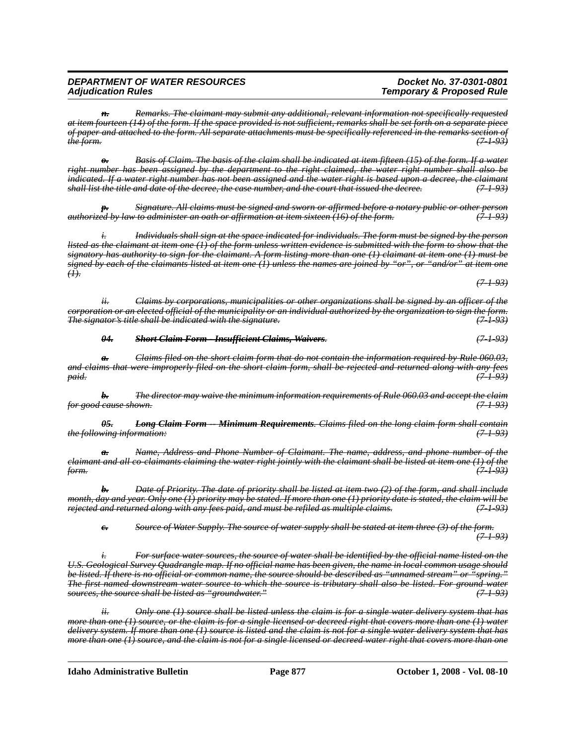*n. Remarks. The claimant may submit any additional, relevant information not specifically requested at item fourteen (14) of the form. If the space provided is not sufficient, remarks shall be set forth on a separate piece of paper and attached to the form. All separate attachments must be specifically referenced in the remarks section of the form. (7-1-93)*

*o. Basis of Claim. The basis of the claim shall be indicated at item fifteen (15) of the form. If a water right number has been assigned by the department to the right claimed, the water right number shall also be indicated. If a water right number has not been assigned and the water right is based upon a decree, the claimant shall list the title and date of the decree, the case number, and the court that issued the decree. (7-1-93)*

*p. Signature. All claims must be signed and sworn or affirmed before a notary public or other person authorized by law to administer an oath or affirmation at item sixteen (16) of the form. (7-1-93)*

*i. Individuals shall sign at the space indicated for individuals. The form must be signed by the person listed as the claimant at item one (1) of the form unless written evidence is submitted with the form to show that the signatory has authority to sign for the claimant. A form listing more than one (1) claimant at item one (1) must be signed by each of the claimants listed at item one (1) unless the names are joined by "or", or "and/or" at item one*  $(1)$ .

*ii. Claims by corporations, municipalities or other organizations shall be signed by an officer of the corporation or an elected official of the municipality or an individual authorized by the organization to sign the form. The signator's title shall be indicated with the signature. (7-1-93)*

*04. Short Claim Form - Insufficient Claims, Waivers. (7-1-93)*

*a. Claims filed on the short claim form that do not contain the information required by Rule 060.03, and claims that were improperly filed on the short claim form, shall be rejected and returned along with any fees paid. (7-1-93)*

*b. The director may waive the minimum information requirements of Rule 060.03 and accept the claim for good cause shown. (7-1-93)*

*05. Long Claim Form -- Minimum Requirements. Claims filed on the long claim form shall contain the following information: (7-1-93)*

*Name, Address and Phone Number of Claimant. The name, address, and phone number of the claimant and all co-claimants claiming the water right jointly with the claimant shall be listed at item one (1) of the form. (7-1-93)*

*b. Date of Priority. The date of priority shall be listed at item two (2) of the form, and shall include month, day and year. Only one (1) priority may be stated. If more than one (1) priority date is stated, the claim will be rejected and returned along with any fees paid, and must be refiled as multiple claims. (7-1-93)*

*c. Source of Water Supply. The source of water supply shall be stated at item three (3) of the form. (7-1-93)*

*i. For surface water sources, the source of water shall be identified by the official name listed on the U.S. Geological Survey Quadrangle map. If no official name has been given, the name in local common usage should be listed. If there is no official or common name, the source should be described as "unnamed stream" or "spring." The first named downstream water source to which the source is tributary shall also be listed. For ground water sources, the source shall be listed as "groundwater." (7-1-93)*

*ii. Only one (1) source shall be listed unless the claim is for a single water delivery system that has more than one (1) source, or the claim is for a single licensed or decreed right that covers more than one (1) water delivery system. If more than one (1) source is listed and the claim is not for a single water delivery system that has more than one (1) source, and the claim is not for a single licensed or decreed water right that covers more than one*

**Idaho Administrative Bulletin Page 877 October 1, 2008 - Vol. 08-10**

*Temporary & Proposed Rule* 

*(7-1-93)*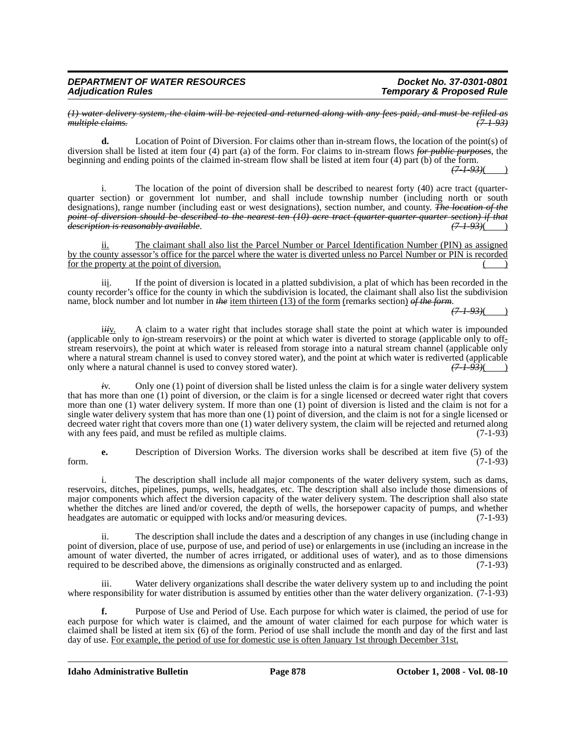*(1) water delivery system, the claim will be rejected and returned along with any fees paid, and must be refiled as*  $multiple$  *claims.* 

**d.** Location of Point of Diversion. For claims other than in-stream flows, the location of the point(s) of diversion shall be listed at item four (4) part (a) of the form. For claims to in-stream flows *for public purposes*, the beginning and ending points of the claimed in-stream flow shall be listed at item four (4) part (b) of the form.

*(7-1-93)*( )

i. The location of the point of diversion shall be described to nearest forty (40) acre tract (quarterquarter section) or government lot number, and shall include township number (including north or south designations), range number (including east or west designations), section number, and county. *The location of the point of diversion should be described to the nearest ten (10) acre tract (quarter-quarter-quarter section) if that*  $d$ *escription is reasonably available.* 

ii. The claimant shall also list the Parcel Number or Parcel Identification Number (PIN) as assigned by the county assessor's office for the parcel where the water is diverted unless no Parcel Number or PIN is recorded for the property at the point of diversion.

iii. If the point of diversion is located in a platted subdivision, a plat of which has been recorded in the county recorder's office for the county in which the subdivision is located, the claimant shall also list the subdivision name, block number and lot number in *the* item thirteen (13) of the form (remarks section) of the form.

*(7-1-93)*( )

i*ii*v. A claim to a water right that includes storage shall state the point at which water is impounded (applicable only to *i*on-stream reservoirs) or the point at which water is diverted to storage (applicable only to offstream reservoirs), the point at which water is released from storage into a natural stream channel (applicable only where a natural stream channel is used to convey stored water), and the point at which water is rediverted (applicable only where a natural channel is used to convey stored water).  $(7-1-93)($ only where a natural channel is used to convey stored water).

*i*v. Only one (1) point of diversion shall be listed unless the claim is for a single water delivery system that has more than one (1) point of diversion, or the claim is for a single licensed or decreed water right that covers more than one (1) water delivery system. If more than one (1) point of diversion is listed and the claim is not for a single water delivery system that has more than one (1) point of diversion, and the claim is not for a single licensed or decreed water right that covers more than one (1) water delivery system, the claim will be rejected and returned along with any fees paid, and must be refiled as multiple claims. (7-1-93) with any fees paid, and must be refiled as multiple claims.

**e.** Description of Diversion Works. The diversion works shall be described at item five (5) of the form. (7-1-93)

i. The description shall include all major components of the water delivery system, such as dams, reservoirs, ditches, pipelines, pumps, wells, headgates, etc. The description shall also include those dimensions of major components which affect the diversion capacity of the water delivery system. The description shall also state whether the ditches are lined and/or covered, the depth of wells, the horsepower capacity of pumps, and whether headgates are automatic or equipped with locks and/or measuring devices. (7-1-93) headgates are automatic or equipped with locks and/or measuring devices.

ii. The description shall include the dates and a description of any changes in use (including change in point of diversion, place of use, purpose of use, and period of use) or enlargements in use (including an increase in the amount of water diverted, the number of acres irrigated, or additional uses of water), and as to those dimensions required to be described above, the dimensions as originally constructed and as enlarged. (7-1-93) required to be described above, the dimensions as originally constructed and as enlarged.

iii. Water delivery organizations shall describe the water delivery system up to and including the point where responsibility for water distribution is assumed by entities other than the water delivery organization. (7-1-93)

**f.** Purpose of Use and Period of Use. Each purpose for which water is claimed, the period of use for each purpose for which water is claimed, and the amount of water claimed for each purpose for which water is claimed shall be listed at item six (6) of the form. Period of use shall include the month and day of the first and last day of use. For example, the period of use for domestic use is often January 1st through December 31st.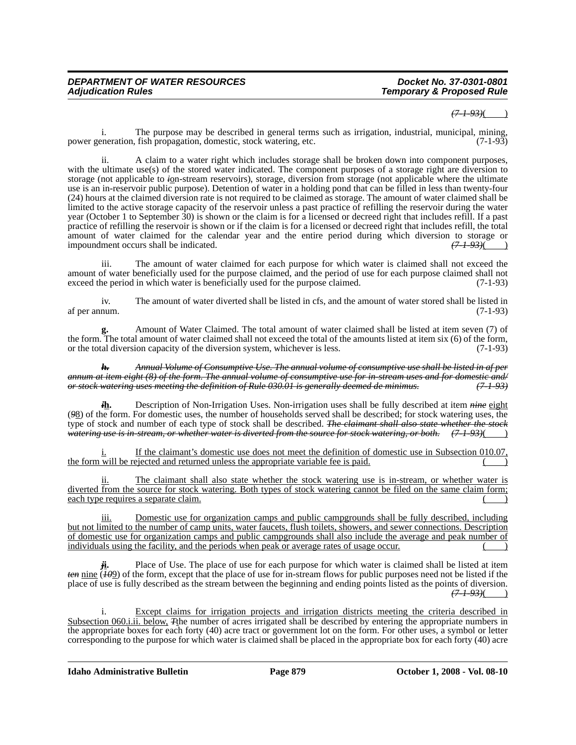#### *(7-1-93)*( )

i. The purpose may be described in general terms such as irrigation, industrial, municipal, mining, power generation, fish propagation, domestic, stock watering, etc.

ii. A claim to a water right which includes storage shall be broken down into component purposes, with the ultimate use(s) of the stored water indicated. The component purposes of a storage right are diversion to storage (not applicable to *i*on-stream reservoirs), storage, diversion from storage (not applicable where the ultimate use is an in-reservoir public purpose). Detention of water in a holding pond that can be filled in less than twenty-four (24) hours at the claimed diversion rate is not required to be claimed as storage. The amount of water claimed shall be limited to the active storage capacity of the reservoir unless a past practice of refilling the reservoir during the water year (October 1 to September 30) is shown or the claim is for a licensed or decreed right that includes refill. If a past practice of refilling the reservoir is shown or if the claim is for a licensed or decreed right that includes refill, the total amount of water claimed for the calendar year and the entire period during which diversion to storage or impoundment occurs shall be indicated. *(7-1-93)*( )

iii. The amount of water claimed for each purpose for which water is claimed shall not exceed the amount of water beneficially used for the purpose claimed, and the period of use for each purpose claimed shall not exceed the period in which water is beneficially used for the purpose claimed. (7-1-93)

iv. The amount of water diverted shall be listed in cfs, and the amount of water stored shall be listed in num. (7-1-93) af per annum.

**g.** Amount of Water Claimed. The total amount of water claimed shall be listed at item seven (7) of the form. The total amount of water claimed shall not exceed the total of the amounts listed at item six (6) of the form, or the total diversion capacity of the diversion system, whichever is less. (7-1-93) or the total diversion capacity of the diversion system, whichever is less.

*h. Annual Volume of Consumptive Use. The annual volume of consumptive use shall be listed in af per annum at item eight (8) of the form. The annual volume of consumptive use for in-stream uses and for domestic and/ or stock watering uses meeting the definition of Rule 030.01 is generally deemed de minimus. (7-1-93)*

*i***h.** Description of Non-Irrigation Uses. Non-irrigation uses shall be fully described at item *nine* eight (*9*8) of the form. For domestic uses, the number of households served shall be described; for stock watering uses, the type of stock and number of each type of stock shall be described. *The claimant shall also state whether the stock watering use is in-stream, or whether water is diverted from the source for stock watering, or both.*  $(71-93)$ ( )

If the claimant's domestic use does not meet the definition of domestic use in Subsection 010.07, the form will be rejected and returned unless the appropriate variable fee is paid. ( )

ii. The claimant shall also state whether the stock watering use is in-stream, or whether water is diverted from the source for stock watering. Both types of stock watering cannot be filed on the same claim form; each type requires a separate claim.

iii. Domestic use for organization camps and public campgrounds shall be fully described, including but not limited to the number of camp units, water faucets, flush toilets, showers, and sewer connections. Description of domestic use for organization camps and public campgrounds shall also include the average and peak number of individuals using the facility, and the periods when peak or average rates of usage occur.

Place of Use. The place of use for each purpose for which water is claimed shall be listed at item *ten* nine (*10*9) of the form, except that the place of use for in-stream flows for public purposes need not be listed if the place of use is fully described as the stream between the beginning and ending points listed as the points of diversion. *(7-1-93)*( )

Except claims for irrigation projects and irrigation districts meeting the criteria described in Subsection 060.*i.ii.* below, *F*the number of acres irrigated shall be described by entering the appropriate numbers in the appropriate boxes for each forty (40) acre tract or government lot on the form. For other uses, a symbol or letter corresponding to the purpose for which water is claimed shall be placed in the appropriate box for each forty (40) acre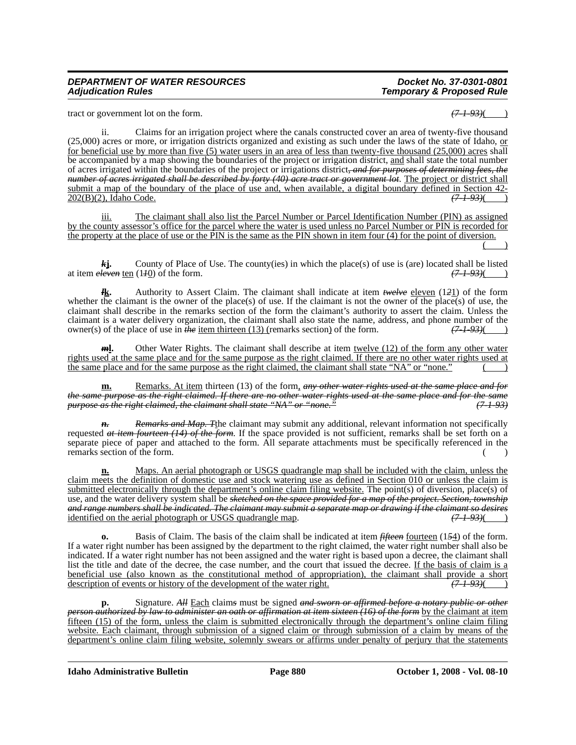# *Temporary & Proposed Rule*

tract or government lot on the form.  $\left(7-1-93\right)$ (

ii. Claims for an irrigation project where the canals constructed cover an area of twenty-five thousand (25,000) acres or more, or irrigation districts organized and existing as such under the laws of the state of Idaho, or for beneficial use by more than five (5) water users in an area of less than twenty-five thousand (25,000) acres shall be accompanied by a map showing the boundaries of the project or irrigation district, and shall state the total number of acres irrigated within the boundaries of the project or irrigations district*, and for purposes of determining fees, the number of acres irrigated shall be described by forty (40) acre tract or government lot*. The project or district shall submit a map of the boundary of the place of use and, when available, a digital boundary defined in Section 42-<br>202(B)(2), Idaho Code.  $\left(7-1-93\right)$ 202(B)(2), Idaho Code.

iii. The claimant shall also list the Parcel Number or Parcel Identification Number (PIN) as assigned by the county assessor's office for the parcel where the water is used unless no Parcel Number or PIN is recorded for the property at the place of use or the PIN is the same as the PIN shown in item four (4) for the point of diversion.  $($  )

*k***j.** County of Place of Use. The county(ies) in which the place(s) of use is (are) located shall be listed at item  $\frac{e^{i\theta}}{i\theta}$  (1*+*0) of the form.  $\frac{1}{2}$  (7-1-93)( )

*l***k.** Authority to Assert Claim. The claimant shall indicate at item *twelve* eleven (1*2*1) of the form whether the claimant is the owner of the place(s) of use. If the claimant is not the owner of the place(s) of use, the claimant shall describe in the remarks section of the form the claimant's authority to assert the claim. Unless the claimant is a water delivery organization, the claimant shall also state the name, address, and phone number of the owner(s) of the place of use in *the* <u>item thirteen (13) (</u>remarks section) of the form.  $(7-1-93)($ 

*m***l**. Other Water Rights. The claimant shall describe at item <u>twelve (12) of the form any other water</u> rights used at the same place and for the same purpose as the right claimed. If there are no other water rights used at the same place and for the same purpose as the right claimed, the claimant shall state "NA" or "none."

**m.** Remarks. At item thirteen (13) of the form, *any other water rights used at the same place and for the same purpose as the right claimed. If there are no other water rights used at the same place and for the same purpose as the right claimed, the claimant shall state "NA" or "none." (7-1-93)*

*n. Remarks and Map. T*the claimant may submit any additional, relevant information not specifically requested *at item fourteen (14) of the form*. If the space provided is not sufficient, remarks shall be set forth on a separate piece of paper and attached to the form. All separate attachments must be specifically referenced in the remarks section of the form. ( )

**n.** Maps. An aerial photograph or USGS quadrangle map shall be included with the claim, unless the claim meets the definition of domestic use and stock watering use as defined in Section 010 or unless the claim is submitted electronically through the department's online claim filing website. The point(s) of diversion, place(s) of use, and the water delivery system shall be *sketched on the space provided for a map of the project. Section, township and range numbers shall be indicated. The claimant may submit a separate map or drawing if the claimant so desires* identified on the aerial photograph or USGS quadrangle map.

**o.** Basis of Claim. The basis of the claim shall be indicated at item *fifteen* fourteen (154) of the form. If a water right number has been assigned by the department to the right claimed, the water right number shall also be indicated. If a water right number has not been assigned and the water right is based upon a decree, the claimant shall list the title and date of the decree, the case number, and the court that issued the decree. If the basis of claim is a <u>beneficial use (also known as the constitutional method of appropriation), the claimant shall provide a short</u> description of events or history of the development of the water right.  $(7-1-93)($ description of events or history of the development of the water right.

**p.** Signature. *All* Each claim*s* must be signed *and sworn or affirmed before a notary public or other person authorized by law to administer an oath or affirmation at item sixteen (16) of the form* by the claimant at item fifteen (15) of the form, unless the claim is submitted electronically through the department's online claim filing website. Each claimant, through submission of a signed claim or through submission of a claim by means of the department's online claim filing website, solemnly swears or affirms under penalty of perjury that the statements